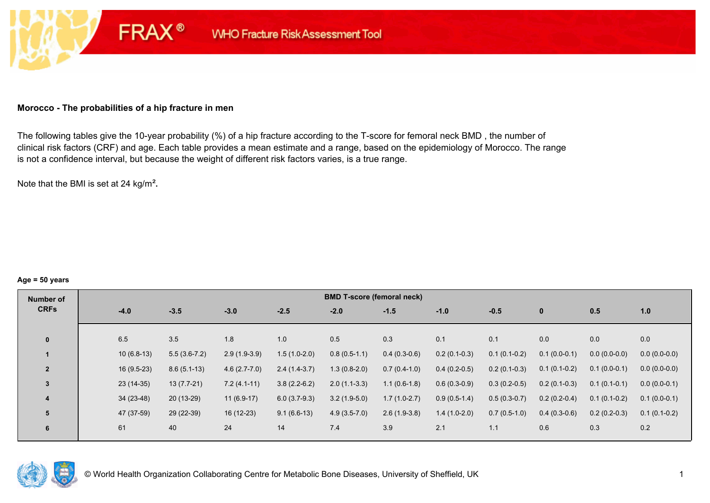#### **Morocco - The probabilities of a hip fracture in men**

**FRAX®** 

The following tables give the 10-year probability (%) of a hip fracture according to the T-score for femoral neck BMD , the number of clinical risk factors (CRF) and age. Each table provides a mean estimate and a range, based on the epidemiology of Morocco. The range is not a confidence interval, but because the weight of different risk factors varies, is a true range.

Note that the BMI is set at 24 kg/m²**.** 

#### **Age = 50 years**

| Number of      |              |                |                |                | <b>BMD T-score (femoral neck)</b> |                |                |                |                |                |                |
|----------------|--------------|----------------|----------------|----------------|-----------------------------------|----------------|----------------|----------------|----------------|----------------|----------------|
| <b>CRFs</b>    | $-4.0$       | $-3.5$         | $-3.0$         | $-2.5$         | $-2.0$                            | $-1.5$         | $-1.0$         | $-0.5$         | $\mathbf{0}$   | 0.5            | 1.0            |
|                |              |                |                |                |                                   |                |                |                |                |                |                |
| $\mathbf{0}$   | 6.5          | 3.5            | 1.8            | 1.0            | 0.5                               | 0.3            | 0.1            | 0.1            | 0.0            | 0.0            | 0.0            |
|                | $10(6.8-13)$ | $5.5(3.6-7.2)$ | $2.9(1.9-3.9)$ | $1.5(1.0-2.0)$ | $0.8(0.5-1.1)$                    | $0.4(0.3-0.6)$ | $0.2(0.1-0.3)$ | $0.1(0.1-0.2)$ | $0.1(0.0-0.1)$ | $0.0(0.0-0.0)$ | $0.0(0.0-0.0)$ |
| $\overline{2}$ | $16(9.5-23)$ | $8.6(5.1-13)$  | $4.6(2.7-7.0)$ | $2.4(1.4-3.7)$ | $1.3(0.8-2.0)$                    | $0.7(0.4-1.0)$ | $0.4(0.2-0.5)$ | $0.2(0.1-0.3)$ | $0.1(0.1-0.2)$ | $0.1(0.0-0.1)$ | $0.0(0.0-0.0)$ |
| $\overline{3}$ | $23(14-35)$  | $13(7.7-21)$   | $7.2(4.1-11)$  | $3.8(2.2-6.2)$ | $2.0(1.1-3.3)$                    | $1.1(0.6-1.8)$ | $0.6(0.3-0.9)$ | $0.3(0.2-0.5)$ | $0.2(0.1-0.3)$ | $0.1(0.1-0.1)$ | $0.0(0.0-0.1)$ |
| 4              | $34(23-48)$  | $20(13-29)$    | $11(6.9-17)$   | $6.0(3.7-9.3)$ | $3.2(1.9-5.0)$                    | $1.7(1.0-2.7)$ | $0.9(0.5-1.4)$ | $0.5(0.3-0.7)$ | $0.2(0.2-0.4)$ | $0.1(0.1-0.2)$ | $0.1(0.0-0.1)$ |
| 5              | 47 (37-59)   | 29 (22-39)     | 16 (12-23)     | $9.1(6.6-13)$  | $4.9(3.5-7.0)$                    | $2.6(1.9-3.8)$ | $1.4(1.0-2.0)$ | $0.7(0.5-1.0)$ | $0.4(0.3-0.6)$ | $0.2(0.2-0.3)$ | $0.1(0.1-0.2)$ |
| 6              | 61           | 40             | 24             | 14             | 7.4                               | 3.9            | 2.1            | 1.1            | 0.6            | 0.3            | 0.2            |

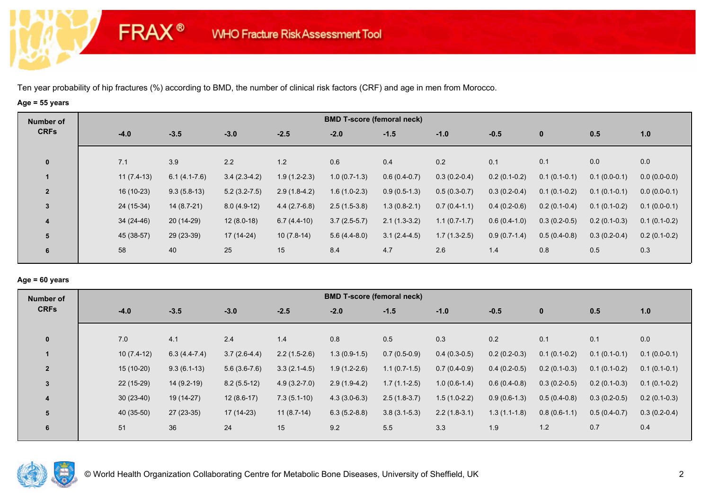**FRAX®** 

## **Age = 55 years**

| Number of      |        |              |                |                |                | <b>BMD T-score (femoral neck)</b> |                |                |                |                |                |                |
|----------------|--------|--------------|----------------|----------------|----------------|-----------------------------------|----------------|----------------|----------------|----------------|----------------|----------------|
| <b>CRFs</b>    | $-4.0$ |              | $-3.5$         | $-3.0$         | $-2.5$         | $-2.0$                            | $-1.5$         | $-1.0$         | $-0.5$         | $\mathbf 0$    | 0.5            | 1.0            |
| $\mathbf 0$    | 7.1    |              | 3.9            | 2.2            | 1.2            | 0.6                               | 0.4            | 0.2            | 0.1            | 0.1            | 0.0            | 0.0            |
|                |        | $11(7.4-13)$ | $6.1(4.1-7.6)$ | $3.4(2.3-4.2)$ | $1.9(1.2-2.3)$ | $1.0(0.7-1.3)$                    | $0.6(0.4-0.7)$ | $0.3(0.2-0.4)$ | $0.2(0.1-0.2)$ | $0.1(0.1-0.1)$ | $0.1(0.0-0.1)$ | $0.0(0.0-0.0)$ |
| $\overline{2}$ |        | 16 (10-23)   | $9.3(5.8-13)$  | $5.2(3.2-7.5)$ | $2.9(1.8-4.2)$ | $1.6(1.0-2.3)$                    | $0.9(0.5-1.3)$ | $0.5(0.3-0.7)$ | $0.3(0.2-0.4)$ | $0.1(0.1-0.2)$ | $0.1(0.1-0.1)$ | $0.0(0.0-0.1)$ |
| $\mathbf{3}$   |        | 24 (15-34)   | $14(8.7-21)$   | $8.0(4.9-12)$  | $4.4(2.7-6.8)$ | $2.5(1.5-3.8)$                    | $1.3(0.8-2.1)$ | $0.7(0.4-1.1)$ | $0.4(0.2-0.6)$ | $0.2(0.1-0.4)$ | $0.1(0.1-0.2)$ | $0.1(0.0-0.1)$ |
| 4              |        | 34 (24-46)   | 20 (14-29)     | $12(8.0-18)$   | $6.7(4.4-10)$  | $3.7(2.5-5.7)$                    | $2.1(1.3-3.2)$ | $1.1(0.7-1.7)$ | $0.6(0.4-1.0)$ | $0.3(0.2-0.5)$ | $0.2(0.1-0.3)$ | $0.1(0.1-0.2)$ |
| 5              |        | 45 (38-57)   | 29 (23-39)     | 17 (14-24)     | $10(7.8-14)$   | $5.6(4.4-8.0)$                    | $3.1(2.4-4.5)$ | $1.7(1.3-2.5)$ | $0.9(0.7-1.4)$ | $0.5(0.4-0.8)$ | $0.3(0.2-0.4)$ | $0.2(0.1-0.2)$ |
| 6              | 58     |              | 40             | 25             | 15             | 8.4                               | 4.7            | 2.6            | 1.4            | 0.8            | 0.5            | 0.3            |

#### **Age = 60 years**

| Number of               |              |                |                |                  | <b>BMD T-score (femoral neck)</b> |                |                |                |                |                |                |
|-------------------------|--------------|----------------|----------------|------------------|-----------------------------------|----------------|----------------|----------------|----------------|----------------|----------------|
| <b>CRFs</b>             | $-4.0$       | $-3.5$         | $-3.0$         | $-2.5$           | $-2.0$                            | $-1.5$         | $-1.0$         | $-0.5$         | $\mathbf{0}$   | 0.5            | 1.0            |
| $\mathbf{0}$            | 7.0          | 4.1            | 2.4            | 1.4              | 0.8                               | 0.5            | 0.3            | 0.2            | 0.1            | 0.1            | 0.0            |
|                         | $10(7.4-12)$ | $6.3(4.4-7.4)$ | $3.7(2.6-4.4)$ | $2.2(1.5-2.6)$   | $1.3(0.9-1.5)$                    | $0.7(0.5-0.9)$ | $0.4(0.3-0.5)$ | $0.2(0.2-0.3)$ | $0.1(0.1-0.2)$ | $0.1(0.1-0.1)$ | $0.1(0.0-0.1)$ |
| $\overline{2}$          | $15(10-20)$  | $9.3(6.1-13)$  | $5.6(3.6-7.6)$ | $3.3(2.1-4.5)$   | $1.9(1.2-2.6)$                    | $1.1(0.7-1.5)$ | $0.7(0.4-0.9)$ | $0.4(0.2-0.5)$ | $0.2(0.1-0.3)$ | $0.1(0.1-0.2)$ | $0.1(0.1-0.1)$ |
| 3                       | 22 (15-29)   | $14(9.2-19)$   | $8.2(5.5-12)$  | $4.9(3.2 - 7.0)$ | $2.9(1.9-4.2)$                    | $1.7(1.1-2.5)$ | $1.0(0.6-1.4)$ | $0.6(0.4-0.8)$ | $0.3(0.2-0.5)$ | $0.2(0.1-0.3)$ | $0.1(0.1-0.2)$ |
| $\overline{\mathbf{4}}$ | $30(23-40)$  | 19 (14-27)     | $12(8.6-17)$   | $7.3(5.1-10)$    | $4.3(3.0-6.3)$                    | $2.5(1.8-3.7)$ | $1.5(1.0-2.2)$ | $0.9(0.6-1.3)$ | $0.5(0.4-0.8)$ | $0.3(0.2-0.5)$ | $0.2(0.1-0.3)$ |
| 5                       | 40 (35-50)   | $27(23-35)$    | 17 (14-23)     | $11(8.7-14)$     | $6.3(5.2-8.8)$                    | $3.8(3.1-5.3)$ | $2.2(1.8-3.1)$ | $1.3(1.1-1.8)$ | $0.8(0.6-1.1)$ | $0.5(0.4-0.7)$ | $0.3(0.2-0.4)$ |
| 6                       | 51           | 36             | 24             | 15               | 9.2                               | 5.5            | 3.3            | 1.9            | 1.2            | 0.7            | 0.4            |

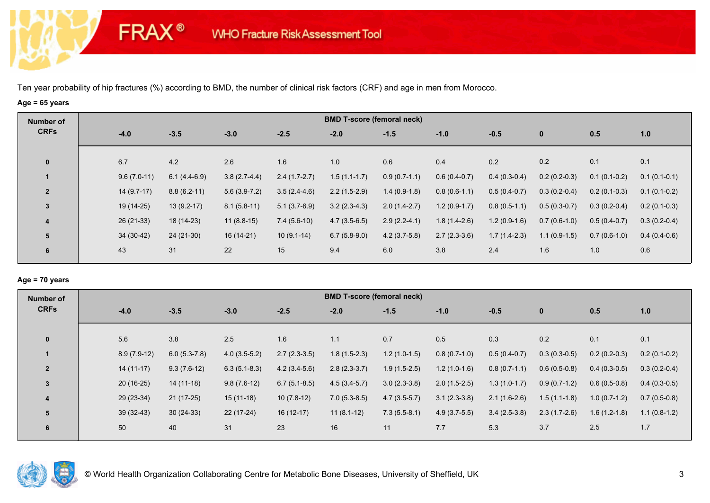**FRAX®** 

# **Age = 65 years**

| Number of               |               |                |                |                | <b>BMD T-score (femoral neck)</b> |                |                |                |                |                |                |
|-------------------------|---------------|----------------|----------------|----------------|-----------------------------------|----------------|----------------|----------------|----------------|----------------|----------------|
| <b>CRFs</b>             | $-4.0$        | $-3.5$         | $-3.0$         | $-2.5$         | $-2.0$                            | $-1.5$         | $-1.0$         | $-0.5$         | $\bf{0}$       | 0.5            | 1.0            |
|                         |               |                |                |                |                                   |                |                |                |                |                |                |
| $\mathbf 0$             | 6.7           | 4.2            | 2.6            | 1.6            | 1.0                               | 0.6            | 0.4            | 0.2            | 0.2            | 0.1            | 0.1            |
|                         | $9.6(7.0-11)$ | $6.1(4.4-6.9)$ | $3.8(2.7-4.4)$ | $2.4(1.7-2.7)$ | $1.5(1.1-1.7)$                    | $0.9(0.7-1.1)$ | $0.6(0.4-0.7)$ | $0.4(0.3-0.4)$ | $0.2(0.2-0.3)$ | $0.1(0.1-0.2)$ | $0.1(0.1-0.1)$ |
| $\overline{2}$          | $14(9.7-17)$  | $8.8(6.2-11)$  | $5.6(3.9-7.2)$ | $3.5(2.4-4.6)$ | $2.2(1.5-2.9)$                    | $1.4(0.9-1.8)$ | $0.8(0.6-1.1)$ | $0.5(0.4-0.7)$ | $0.3(0.2-0.4)$ | $0.2(0.1-0.3)$ | $0.1(0.1-0.2)$ |
| $\mathbf{3}$            | 19 (14-25)    | $13(9.2-17)$   | $8.1(5.8-11)$  | $5.1(3.7-6.9)$ | $3.2(2.3-4.3)$                    | $2.0(1.4-2.7)$ | $1.2(0.9-1.7)$ | $0.8(0.5-1.1)$ | $0.5(0.3-0.7)$ | $0.3(0.2-0.4)$ | $0.2(0.1-0.3)$ |
| $\overline{\mathbf{4}}$ | $26(21-33)$   | 18 (14-23)     | $11(8.8-15)$   | $7.4(5.6-10)$  | $4.7(3.5-6.5)$                    | $2.9(2.2-4.1)$ | $1.8(1.4-2.6)$ | $1.2(0.9-1.6)$ | $0.7(0.6-1.0)$ | $0.5(0.4-0.7)$ | $0.3(0.2-0.4)$ |
| 5                       | $34(30-42)$   | $24(21-30)$    | $16(14-21)$    | $10(9.1-14)$   | $6.7(5.8-9.0)$                    | $4.2(3.7-5.8)$ | $2.7(2.3-3.6)$ | $1.7(1.4-2.3)$ | $1.1(0.9-1.5)$ | $0.7(0.6-1.0)$ | $0.4(0.4-0.6)$ |
| 6                       | 43            | 31             | 22             | 15             | 9.4                               | 6.0            | 3.8            | 2.4            | 1.6            | 1.0            | 0.6            |
|                         |               |                |                |                |                                   |                |                |                |                |                |                |

## **Age = 70 years**

| Number of      |               |                |                |                | <b>BMD T-score (femoral neck)</b> |                |                |                |                |                |                |
|----------------|---------------|----------------|----------------|----------------|-----------------------------------|----------------|----------------|----------------|----------------|----------------|----------------|
| <b>CRFs</b>    | $-4.0$        | $-3.5$         | $-3.0$         | $-2.5$         | $-2.0$                            | $-1.5$         | $-1.0$         | $-0.5$         | $\mathbf{0}$   | 0.5            | 1.0            |
| $\mathbf{0}$   | 5.6           | 3.8            | 2.5            | 1.6            | 1.1                               | 0.7            | 0.5            | 0.3            | 0.2            | 0.1            | 0.1            |
|                | $8.9(7.9-12)$ | $6.0(5.3-7.8)$ | $4.0(3.5-5.2)$ | $2.7(2.3-3.5)$ | $1.8(1.5-2.3)$                    | $1.2(1.0-1.5)$ | $0.8(0.7-1.0)$ | $0.5(0.4-0.7)$ | $0.3(0.3-0.5)$ | $0.2(0.2-0.3)$ | $0.2(0.1-0.2)$ |
| $\overline{2}$ | $14(11-17)$   | $9.3(7.6-12)$  | $6.3(5.1-8.3)$ | $4.2(3.4-5.6)$ | $2.8(2.3-3.7)$                    | $1.9(1.5-2.5)$ | $1.2(1.0-1.6)$ | $0.8(0.7-1.1)$ | $0.6(0.5-0.8)$ | $0.4(0.3-0.5)$ | $0.3(0.2-0.4)$ |
| 3              | $20(16-25)$   | $14(11-18)$    | $9.8(7.6-12)$  | $6.7(5.1-8.5)$ | $4.5(3.4-5.7)$                    | $3.0(2.3-3.8)$ | $2.0(1.5-2.5)$ | $1.3(1.0-1.7)$ | $0.9(0.7-1.2)$ | $0.6(0.5-0.8)$ | $0.4(0.3-0.5)$ |
| 4              | 29 (23-34)    | $21(17-25)$    | $15(11-18)$    | $10(7.8-12)$   | $7.0(5.3-8.5)$                    | $4.7(3.5-5.7)$ | $3.1(2.3-3.8)$ | $2.1(1.6-2.6)$ | $1.5(1.1-1.8)$ | $1.0(0.7-1.2)$ | $0.7(0.5-0.8)$ |
| 5              | $39(32-43)$   | $30(24-33)$    | 22 (17-24)     | $16(12-17)$    | $11(8.1-12)$                      | $7.3(5.5-8.1)$ | $4.9(3.7-5.5)$ | $3.4(2.5-3.8)$ | $2.3(1.7-2.6)$ | $1.6(1.2-1.8)$ | $1.1(0.8-1.2)$ |
| 6              | 50            | 40             | 31             | 23             | 16                                | 11             | 7.7            | 5.3            | 3.7            | 2.5            | 1.7            |

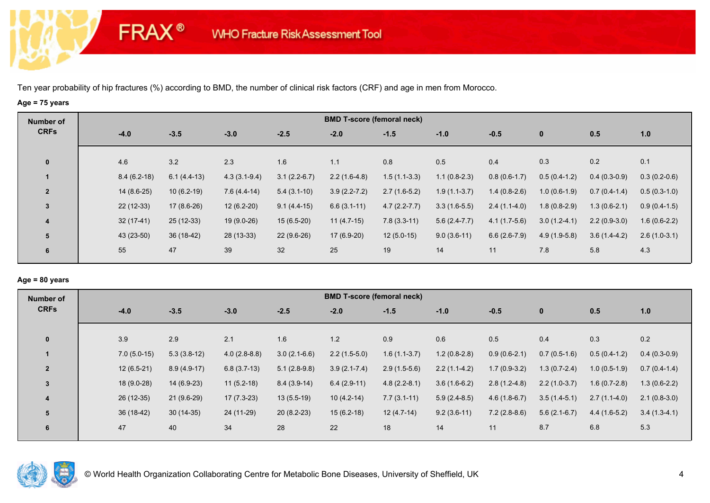**FRAX®** 

# **Age = 75 years**

| Number of      |               |               |                |                | <b>BMD T-score (femoral neck)</b> |                  |                |                |                |                |                |
|----------------|---------------|---------------|----------------|----------------|-----------------------------------|------------------|----------------|----------------|----------------|----------------|----------------|
| <b>CRFs</b>    | $-4.0$        | $-3.5$        | $-3.0$         | $-2.5$         | $-2.0$                            | $-1.5$           | $-1.0$         | $-0.5$         | $\mathbf 0$    | 0.5            | 1.0            |
| $\mathbf 0$    | 4.6           | 3.2           | 2.3            | 1.6            | 1.1                               | 0.8              | 0.5            | 0.4            | 0.3            | 0.2            | 0.1            |
|                | $8.4(6.2-18)$ | $6.1(4.4-13)$ | $4.3(3.1-9.4)$ | $3.1(2.2-6.7)$ | $2.2(1.6-4.8)$                    | $1.5(1.1-3.3)$   | $1.1(0.8-2.3)$ | $0.8(0.6-1.7)$ | $0.5(0.4-1.2)$ | $0.4(0.3-0.9)$ | $0.3(0.2-0.6)$ |
| $\overline{2}$ | $14(8.6-25)$  | $10(6.2-19)$  | $7.6(4.4-14)$  | $5.4(3.1-10)$  | $3.9(2.2 - 7.2)$                  | $2.7(1.6-5.2)$   | $1.9(1.1-3.7)$ | $1.4(0.8-2.6)$ | $1.0(0.6-1.9)$ | $0.7(0.4-1.4)$ | $0.5(0.3-1.0)$ |
| 3              | $22(12-33)$   | $17(8.6-26)$  | $12(6.2-20)$   | $9.1(4.4-15)$  | $6.6(3.1-11)$                     | $4.7(2.2 - 7.7)$ | $3.3(1.6-5.5)$ | $2.4(1.1-4.0)$ | $1.8(0.8-2.9)$ | $1.3(0.6-2.1)$ | $0.9(0.4-1.5)$ |
| 4              | $32(17-41)$   | $25(12-33)$   | 19 (9.0-26)    | $15(6.5-20)$   | $11(4.7-15)$                      | $7.8(3.3-11)$    | $5.6(2.4-7.7)$ | $4.1(1.7-5.6)$ | $3.0(1.2-4.1)$ | $2.2(0.9-3.0)$ | $1.6(0.6-2.2)$ |
| 5              | 43 (23-50)    | 36 (18-42)    | 28 (13-33)     | $22(9.6-26)$   | $17(6.9-20)$                      | $12(5.0-15)$     | $9.0(3.6-11)$  | $6.6(2.6-7.9)$ | $4.9(1.9-5.8)$ | $3.6(1.4-4.2)$ | $2.6(1.0-3.1)$ |
| 6              | 55            | 47            | 39             | 32             | 25                                | 19               | 14             | 11             | 7.8            | 5.8            | 4.3            |

## **Age = 80 years**

| Number of               |             |               |               |                |                | <b>BMD T-score (femoral neck)</b> |                |                |                |                |                |                |
|-------------------------|-------------|---------------|---------------|----------------|----------------|-----------------------------------|----------------|----------------|----------------|----------------|----------------|----------------|
| <b>CRFs</b>             | $-4.0$      | $-3.5$        |               | $-3.0$         | $-2.5$         | $-2.0$                            | $-1.5$         | $-1.0$         | $-0.5$         | $\mathbf{0}$   | 0.5            | 1.0            |
| $\mathbf{0}$            | 3.9         | 2.9           |               | 2.1            | 1.6            | 1.2                               | 0.9            | 0.6            | 0.5            | 0.4            | 0.3            | 0.2            |
|                         |             | $7.0(5.0-15)$ | $5.3(3.8-12)$ | $4.0(2.8-8.8)$ | $3.0(2.1-6.6)$ | $2.2(1.5-5.0)$                    | $1.6(1.1-3.7)$ | $1.2(0.8-2.8)$ | $0.9(0.6-2.1)$ | $0.7(0.5-1.6)$ | $0.5(0.4-1.2)$ | $0.4(0.3-0.9)$ |
| $\overline{2}$          |             | $12(6.5-21)$  | $8.9(4.9-17)$ | $6.8(3.7-13)$  | $5.1(2.8-9.8)$ | $3.9(2.1 - 7.4)$                  | $2.9(1.5-5.6)$ | $2.2(1.1-4.2)$ | $1.7(0.9-3.2)$ | $1.3(0.7-2.4)$ | $1.0(0.5-1.9)$ | $0.7(0.4-1.4)$ |
| $\overline{3}$          |             | 18 (9.0-28)   | $14(6.9-23)$  | $11(5.2-18)$   | $8.4(3.9-14)$  | $6.4(2.9-11)$                     | $4.8(2.2-8.1)$ | $3.6(1.6-6.2)$ | $2.8(1.2-4.8)$ | $2.2(1.0-3.7)$ | $1.6(0.7-2.8)$ | $1.3(0.6-2.2)$ |
| $\overline{\mathbf{4}}$ | 26 (12-35)  |               | $21(9.6-29)$  | $17(7.3-23)$   | $13(5.5-19)$   | $10(4.2-14)$                      | $7.7(3.1-11)$  | $5.9(2.4-8.5)$ | $4.6(1.8-6.7)$ | $3.5(1.4-5.1)$ | $2.7(1.1-4.0)$ | $2.1(0.8-3.0)$ |
| 5                       | $36(18-42)$ |               | $30(14-35)$   | 24 (11-29)     | $20(8.2-23)$   | $15(6.2-18)$                      | $12(4.7-14)$   | $9.2(3.6-11)$  | $7.2(2.8-8.6)$ | $5.6(2.1-6.7)$ | $4.4(1.6-5.2)$ | $3.4(1.3-4.1)$ |
| 6                       | 47          | 40            |               | 34             | 28             | 22                                | 18             | 14             | 11             | 8.7            | 6.8            | 5.3            |